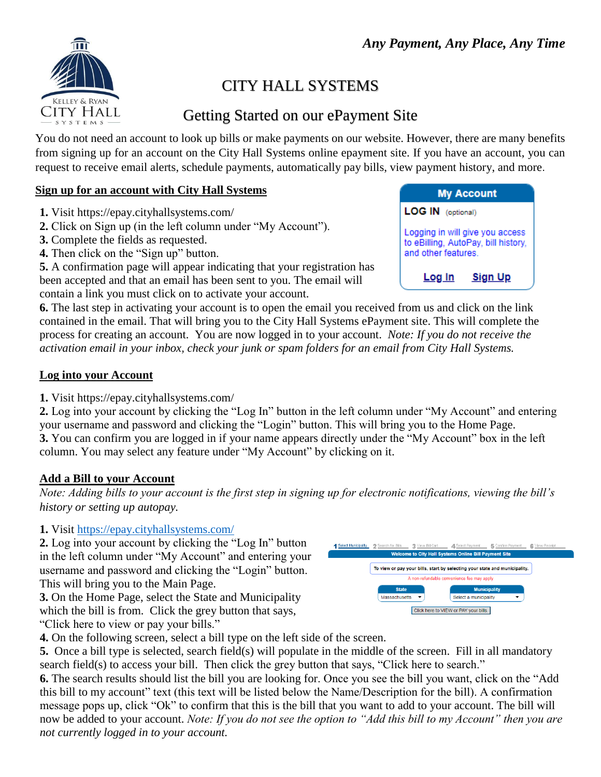

# CITY HALL SYSTEMS

## Getting Started on our ePayment Site

You do not need an account to look up bills or make payments on our website. However, there are many benefits from signing up for an account on the City Hall Systems online epayment site. If you have an account, you can request to receive email alerts, schedule payments, automatically pay bills, view payment history, and more.

## **Sign up for an account with City Hall Systems**

- **1.** Visit https://epay.cityhallsystems.com/
- **2.** Click on Sign up (in the left column under "My Account").
- **3.** Complete the fields as requested.
- **4.** Then click on the "Sign up" button.

**5.** A confirmation page will appear indicating that your registration has been accepted and that an email has been sent to you. The email will contain a link you must click on to activate your account.

**6.** The last step in activating your account is to open the email you received from us and click on the link contained in the email. That will bring you to the City Hall Systems ePayment site. This will complete the process for creating an account. You are now logged in to your account. *Note: If you do not receive the activation email in your inbox, check your junk or spam folders for an email from City Hall Systems.*

## **Log into your Account**

**1.** Visit https://epay.cityhallsystems.com/

**2.** Log into your account by clicking the "Log In" button in the left column under "My Account" and entering your username and password and clicking the "Login" button. This will bring you to the Home Page. **3.** You can confirm you are logged in if your name appears directly under the "My Account" box in the left column. You may select any feature under "My Account" by clicking on it.

## **Add a Bill to your Account**

*Note: Adding bills to your account is the first step in signing up for electronic notifications, viewing the bill's history or setting up autopay.* 

## **1.** Visit <https://epay.cityhallsystems.com/>

**2.** Log into your account by clicking the "Log In" button in the left column under "My Account" and entering your username and password and clicking the "Login" button. This will bring you to the Main Page.

**3.** On the Home Page, select the State and Municipality which the bill is from. Click the grey button that says, "Click here to view or pay your bills."



**4.** On the following screen, select a bill type on the left side of the screen.

**5.** Once a bill type is selected, search field(s) will populate in the middle of the screen. Fill in all mandatory search field(s) to access your bill. Then click the grey button that says, "Click here to search."

**6.** The search results should list the bill you are looking for. Once you see the bill you want, click on the "Add this bill to my account" text (this text will be listed below the Name/Description for the bill). A confirmation message pops up, click "Ok" to confirm that this is the bill that you want to add to your account. The bill will now be added to your account. *Note: If you do not see the option to "Add this bill to my Account" then you are not currently logged in to your account.* 

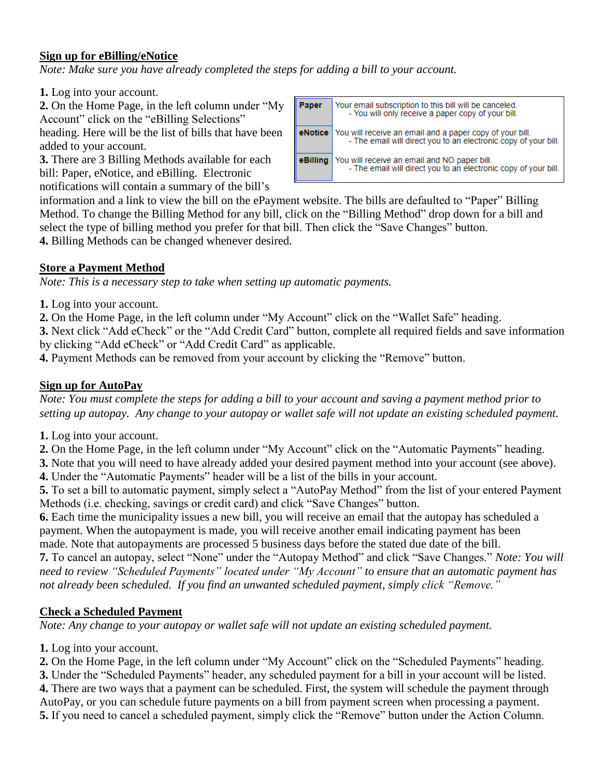#### **Sign up for eBilling/eNotice**

*Note: Make sure you have already completed the steps for adding a bill to your account.* 

**1.** Log into your account.

**2.** On the Home Page, in the left column under "My Account" click on the "eBilling Selections"

heading. Here will be the list of bills that have been added to your account.

**3.** There are 3 Billing Methods available for each bill: Paper, eNotice, and eBilling. Electronic notifications will contain a summary of the bill's

| Paper    | Your email subscription to this bill will be canceled.<br>- You will only receive a paper copy of your bill.                               |
|----------|--------------------------------------------------------------------------------------------------------------------------------------------|
|          | <b>eNotice</b> You will receive an email and a paper copy of your bill.<br>- The email will direct you to an electronic copy of your bill. |
| eBilling | You will receive an email and NO paper bill.<br>- The email will direct you to an electronic copy of your bill.                            |

information and a link to view the bill on the ePayment website. The bills are defaulted to "Paper" Billing Method. To change the Billing Method for any bill, click on the "Billing Method" drop down for a bill and select the type of billing method you prefer for that bill. Then click the "Save Changes" button.

**4.** Billing Methods can be changed whenever desired.

## **Store a Payment Method**

*Note: This is a necessary step to take when setting up automatic payments.* 

**1.** Log into your account.

**2.** On the Home Page, in the left column under "My Account" click on the "Wallet Safe" heading.

**3.** Next click "Add eCheck" or the "Add Credit Card" button, complete all required fields and save information by clicking "Add eCheck" or "Add Credit Card" as applicable.

**4.** Payment Methods can be removed from your account by clicking the "Remove" button.

## **Sign up for AutoPay**

*Note: You must complete the steps for adding a bill to your account and saving a payment method prior to setting up autopay. Any change to your autopay or wallet safe will not update an existing scheduled payment.*

- **1.** Log into your account.
- **2.** On the Home Page, in the left column under "My Account" click on the "Automatic Payments" heading.
- **3.** Note that you will need to have already added your desired payment method into your account (see above).
- **4.** Under the "Automatic Payments" header will be a list of the bills in your account.

**5.** To set a bill to automatic payment, simply select a "AutoPay Method" from the list of your entered Payment Methods (i.e. checking, savings or credit card) and click "Save Changes" button.

**6.** Each time the municipality issues a new bill, you will receive an email that the autopay has scheduled a payment. When the autopayment is made, you will receive another email indicating payment has been made. Note that autopayments are processed 5 business days before the stated due date of the bill.

**7.** To cancel an autopay, select "None" under the "Autopay Method" and click "Save Changes." *Note: You will need to review "Scheduled Payments" located under "My Account" to ensure that an automatic payment has not already been scheduled. If you find an unwanted scheduled payment, simply click "Remove."*

## **Check a Scheduled Payment**

*Note: Any change to your autopay or wallet safe will not update an existing scheduled payment.*

**1.** Log into your account.

**2.** On the Home Page, in the left column under "My Account" click on the "Scheduled Payments" heading.

**3.** Under the "Scheduled Payments" header, any scheduled payment for a bill in your account will be listed.

**4.** There are two ways that a payment can be scheduled. First, the system will schedule the payment through AutoPay, or you can schedule future payments on a bill from payment screen when processing a payment.

**5.** If you need to cancel a scheduled payment, simply click the "Remove" button under the Action Column.